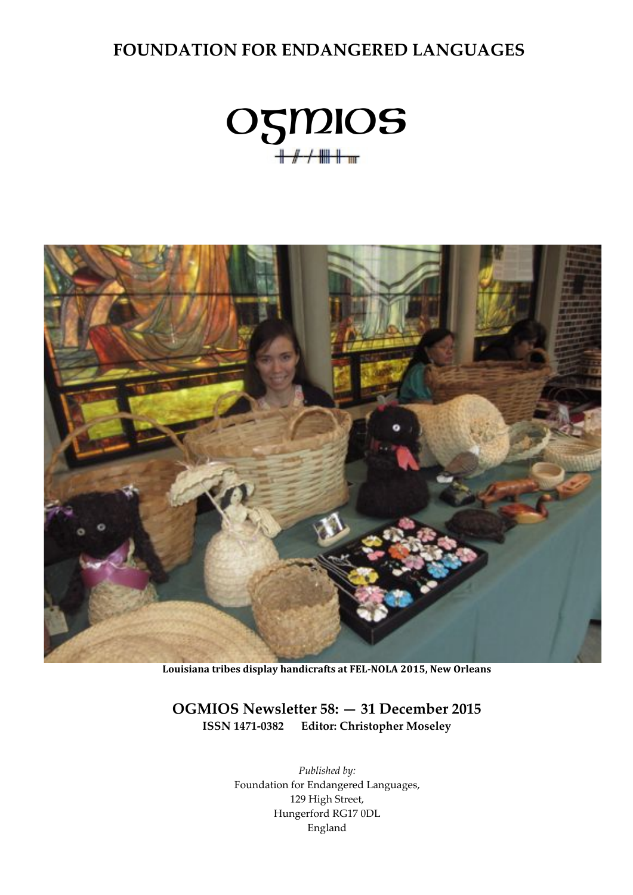# FOUNDATION FOR ENDANGERED LANGUAGES





Louisiana tribes display handicrafts at FEL-NOLA 2015, New Orleans

OGMIOS Newsletter 58:  $-31$  December 2015 **ISSN 1471-0382 Editor: Christopher Moseley** 

> Published by: Foundation for Endangered Languages, 129 High Street, Hungerford RG17 0DL England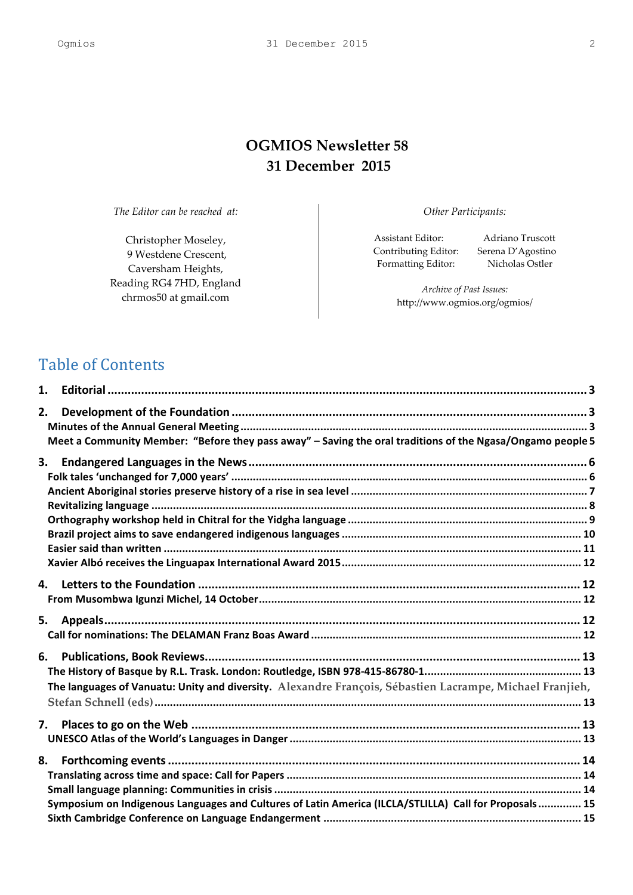## **OGMIOS Newsletter 58 31 December!!2015**

*The Editor can be reached at:* 

Christopher Moseley, 9 Westdene Crescent, Caversham Heights, Reading RG4 7HD, England chrmos50 at gmail.com

*Other\*Participants:*

Assistant!Editor:!!! !!!!!!Adriano!Truscott Contributing Editor: Serena D'Agostino Formatting Editor: Nicholas Ostler

*Archive\*of\*Past\*Issues:* http://www.ogmios.org/ogmios/

# Table of Contents

| 1. |                                                                                                                |
|----|----------------------------------------------------------------------------------------------------------------|
| 2. | Meet a Community Member: "Before they pass away" - Saving the oral traditions of the Ngasa/Ongamo people 5     |
| 3. |                                                                                                                |
|    |                                                                                                                |
| 5. |                                                                                                                |
|    | 6.<br>The languages of Vanuatu: Unity and diversity. Alexandre François, Sébastien Lacrampe, Michael Franjieh, |
|    | 7.                                                                                                             |
|    | Symposium on Indigenous Languages and Cultures of Latin America (ILCLA/STLILLA) Call for Proposals 15          |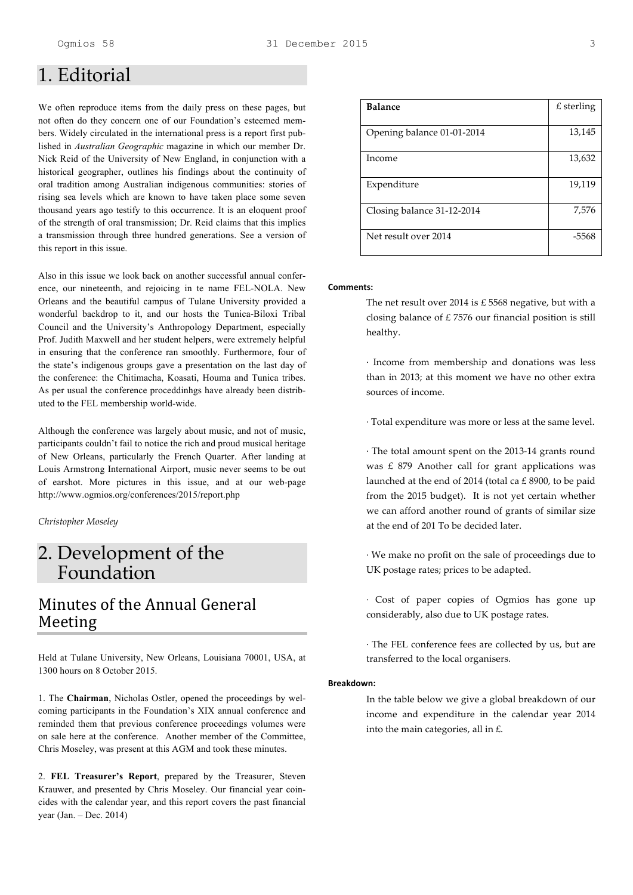# 1. Editorial

We often reproduce items from the daily press on these pages, but not often do they concern one of our Foundation's esteemed members. Widely circulated in the international press is a report first published in *Australian Geographic* magazine in which our member Dr. Nick Reid of the University of New England, in conjunction with a historical geographer, outlines his findings about the continuity of oral tradition among Australian indigenous communities: stories of rising sea levels which are known to have taken place some seven thousand years ago testify to this occurrence. It is an eloquent proof of the strength of oral transmission; Dr. Reid claims that this implies a transmission through three hundred generations. See a version of this report in this issue.

Also in this issue we look back on another successful annual conference, our nineteenth, and rejoicing in te name FEL-NOLA. New Orleans and the beautiful campus of Tulane University provided a wonderful backdrop to it, and our hosts the Tunica-Biloxi Tribal Council and the University's Anthropology Department, especially Prof. Judith Maxwell and her student helpers, were extremely helpful in ensuring that the conference ran smoothly. Furthermore, four of the state's indigenous groups gave a presentation on the last day of the conference: the Chitimacha, Koasati, Houma and Tunica tribes. As per usual the conference proceddinhgs have already been distributed to the FEL membership world-wide.

Although the conference was largely about music, and not of music, participants couldn't fail to notice the rich and proud musical heritage of New Orleans, particularly the French Quarter. After landing at Louis Armstrong International Airport, music never seems to be out of earshot. More pictures in this issue, and at our web-page http://www.ogmios.org/conferences/2015/report.php

*Christopher\*Moseley* !!!

# 2. Development of the Foundation

### Minutes of the Annual General Meeting!

Held at Tulane University, New Orleans, Louisiana 70001, USA, at 1300 hours on 8 October 2015.

1. The **Chairman**, Nicholas Ostler, opened the proceedings by welcoming participants in the Foundation's XIX annual conference and reminded them that previous conference proceedings volumes were on sale here at the conference. Another member of the Committee, Chris Moseley, was present at this AGM and took these minutes.

2. **FEL Treasurer's Report**, prepared by the Treasurer, Steven Krauwer, and presented by Chris Moseley. Our financial year coincides with the calendar year, and this report covers the past financial year (Jan. – Dec. 2014)

| <b>Balance</b>             | $£$ sterling |
|----------------------------|--------------|
| Opening balance 01-01-2014 | 13,145       |
| Income                     | 13,632       |
| Expenditure                | 19,119       |
| Closing balance 31-12-2014 | 7,576        |
| Net result over 2014       | -5568        |

#### **Comments:**

The net result over 2014 is  $£$  5568 negative, but with a closing balance of  $£$  7576 our financial position is still healthy.

· Income from membership and donations was less than in 2013; at this moment we have no other extra sources of income.

· Total expenditure was more or less at the same level.

 $\cdot$  The total amount spent on the 2013-14 grants round was  $£$  879 Another call for grant applications was launched at the end of 2014 (total ca £ 8900, to be paid from the 2015 budget). It is not yet certain whether we can afford another round of grants of similar size at the end of 201 To be decided later.

We make no profit on the sale of proceedings due to UK postage rates; prices to be adapted.

· Cost of paper copies of Ogmios has gone up considerably, also due to UK postage rates.

· The FEL conference fees are collected by us, but are transferred to the local organisers.

#### **Breakdown:**

In the table below we give a global breakdown of our income and expenditure in the calendar year 2014 into the main categories, all in  $E$ .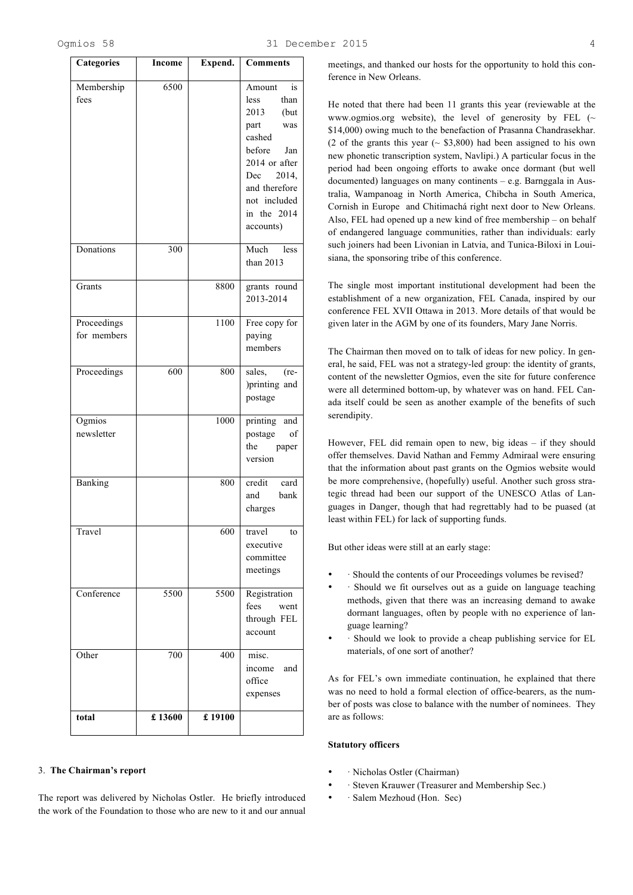| <b>Categories</b>          | Income | Expend. | <b>Comments</b>                                                                                                                                                                       |
|----------------------------|--------|---------|---------------------------------------------------------------------------------------------------------------------------------------------------------------------------------------|
| Membership<br>fees         | 6500   |         | Amount<br>is<br>than<br>less<br>2013<br>(but)<br>part<br>was<br>cashed<br>before<br>Jan<br>2014 or after<br>2014,<br>Dec<br>and therefore<br>not included<br>in the 2014<br>accounts) |
| Donations                  | 300    |         | Much<br>less<br>than 2013                                                                                                                                                             |
| Grants                     |        | 8800    | grants round<br>2013-2014                                                                                                                                                             |
| Proceedings<br>for members |        | 1100    | Free copy for<br>paying<br>members                                                                                                                                                    |
| Proceedings                | 600    | 800     | sales,<br>$(re-$<br>)printing and<br>postage                                                                                                                                          |
| Ogmios<br>newsletter       |        | 1000    | printing<br>and<br>postage<br>of<br>the<br>paper<br>version                                                                                                                           |
| Banking                    |        | 800     | credit<br>card<br>and<br>bank<br>charges                                                                                                                                              |
| Travel                     |        | 600     | travel<br>tο<br>executive<br>committee<br>meetings                                                                                                                                    |
| Conference                 | 5500   | 5500    | Registration<br>fees<br>went<br>through FEL<br>account                                                                                                                                |
| Other                      | 700    | 400     | misc.<br>income<br>and<br>office<br>expenses                                                                                                                                          |
| total                      | £13600 | £19100  |                                                                                                                                                                                       |

#### 3. **The Chairman's report**

The report was delivered by Nicholas Ostler. He briefly introduced the work of the Foundation to those who are new to it and our annual meetings, and thanked our hosts for the opportunity to hold this conference in New Orleans.

He noted that there had been 11 grants this year (reviewable at the www.ogmios.org website), the level of generosity by FEL  $(\sim$ \$14,000) owing much to the benefaction of Prasanna Chandrasekhar. (2 of the grants this year ( $\sim$  \$3,800) had been assigned to his own new phonetic transcription system, Navlipi.) A particular focus in the period had been ongoing efforts to awake once dormant (but well documented) languages on many continents – e.g. Barnggala in Australia, Wampanoag in North America, Chibcha in South America, Cornish in Europe and Chitimachá right next door to New Orleans. Also, FEL had opened up a new kind of free membership – on behalf of endangered language communities, rather than individuals: early such joiners had been Livonian in Latvia, and Tunica-Biloxi in Louisiana, the sponsoring tribe of this conference.

The single most important institutional development had been the establishment of a new organization, FEL Canada, inspired by our conference FEL XVII Ottawa in 2013. More details of that would be given later in the AGM by one of its founders, Mary Jane Norris.

The Chairman then moved on to talk of ideas for new policy. In general, he said, FEL was not a strategy-led group: the identity of grants, content of the newsletter Ogmios, even the site for future conference were all determined bottom-up, by whatever was on hand. FEL Canada itself could be seen as another example of the benefits of such serendipity.

However, FEL did remain open to new, big ideas – if they should offer themselves. David Nathan and Femmy Admiraal were ensuring that the information about past grants on the Ogmios website would be more comprehensive, (hopefully) useful. Another such gross strategic thread had been our support of the UNESCO Atlas of Languages in Danger, though that had regrettably had to be puased (at least within FEL) for lack of supporting funds.

But other ideas were still at an early stage:

- · Should the contents of our Proceedings volumes be revised?
- · Should we fit ourselves out as a guide on language teaching methods, given that there was an increasing demand to awake dormant languages, often by people with no experience of language learning?
- Should we look to provide a cheap publishing service for EL materials, of one sort of another?

As for FEL's own immediate continuation, he explained that there was no need to hold a formal election of office-bearers, as the number of posts was close to balance with the number of nominees. They are as follows:

#### **Statutory officers**

- · Nicholas Ostler (Chairman)
- · Steven Krauwer (Treasurer and Membership Sec.)
- · Salem Mezhoud (Hon. Sec)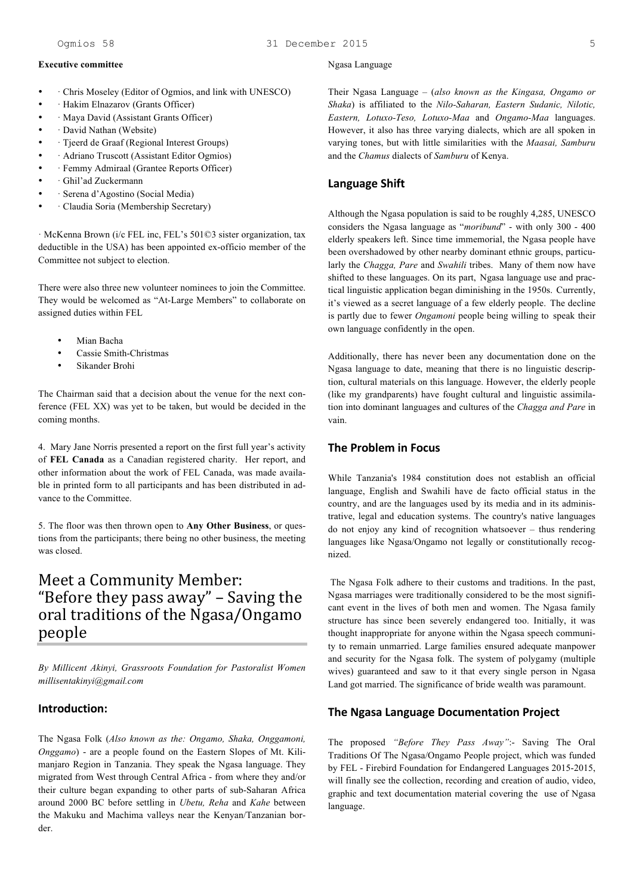#### **Executive committee**

- · Chris Moseley (Editor of Ogmios, and link with UNESCO)
- · Hakim Elnazarov (Grants Officer)
- · Maya David (Assistant Grants Officer)
- · David Nathan (Website)
- · Tjeerd de Graaf (Regional Interest Groups)
- · Adriano Truscott (Assistant Editor Ogmios)
- · Femmy Admiraal (Grantee Reports Officer)
- · Ghil'ad Zuckermann
- · Serena d'Agostino (Social Media)
- · Claudia Soria (Membership Secretary)

· McKenna Brown (i/c FEL inc, FEL's 501©3 sister organization, tax deductible in the USA) has been appointed ex-officio member of the Committee not subject to election.

There were also three new volunteer nominees to join the Committee. They would be welcomed as "At-Large Members" to collaborate on assigned duties within FEL

- Mian Bacha
- Cassie Smith-Christmas
- Sikander Brohi

The Chairman said that a decision about the venue for the next conference (FEL XX) was yet to be taken, but would be decided in the coming months.

4. Mary Jane Norris presented a report on the first full year's activity of **FEL Canada** as a Canadian registered charity. Her report, and other information about the work of FEL Canada, was made available in printed form to all participants and has been distributed in advance to the Committee.

5. The floor was then thrown open to **Any Other Business**, or questions from the participants; there being no other business, the meeting was closed.

### Meet a Community Member: "Before they pass away" – Saving the oral traditions of the Ngasa/Ongamo people

*By Millicent Akinyi, Grassroots Foundation for Pastoralist Women millisentakinyi@gmail.com*

#### **Introduction:**

The Ngasa Folk (*Also known as the: Ongamo, Shaka, Onggamoni, Onggamo*) - are a people found on the Eastern Slopes of Mt. Kilimanjaro Region in Tanzania. They speak the Ngasa language. They migrated from West through Central Africa - from where they and/or their culture began expanding to other parts of sub-Saharan Africa around 2000 BC before settling in *Ubetu, Reha* and *Kahe* between the Makuku and Machima valleys near the Kenyan/Tanzanian border.

#### Ngasa Language

Their Ngasa Language – (*also known as the Kingasa, Ongamo or Shaka*) is affiliated to the *Nilo-Saharan, Eastern Sudanic, Nilotic, Eastern, Lotuxo-Teso, Lotuxo-Maa* and *Ongamo-Maa* languages. However, it also has three varying dialects, which are all spoken in varying tones, but with little similarities with the *Maasai, Samburu*  and the *Chamus* dialects of *Samburu* of Kenya.

#### **Language+Shift**

Although the Ngasa population is said to be roughly 4,285, UNESCO considers the Ngasa language as "*moribund*" - with only 300 - 400 elderly speakers left. Since time immemorial, the Ngasa people have been overshadowed by other nearby dominant ethnic groups, particularly the *Chagga, Pare* and *Swahili* tribes. Many of them now have shifted to these languages. On its part, Ngasa language use and practical linguistic application began diminishing in the 1950s. Currently, it's viewed as a secret language of a few elderly people. The decline is partly due to fewer *Ongamoni* people being willing to speak their own language confidently in the open.

Additionally, there has never been any documentation done on the Ngasa language to date, meaning that there is no linguistic description, cultural materials on this language. However, the elderly people (like my grandparents) have fought cultural and linguistic assimilation into dominant languages and cultures of the *Chagga and Pare* in vain.

#### **The Problem in Focus**

While Tanzania's 1984 constitution does not establish an official language, English and Swahili have de facto official status in the country, and are the languages used by its media and in its administrative, legal and education systems. The country's native languages do not enjoy any kind of recognition whatsoever – thus rendering languages like Ngasa/Ongamo not legally or constitutionally recognized.

The Ngasa Folk adhere to their customs and traditions. In the past, Ngasa marriages were traditionally considered to be the most significant event in the lives of both men and women. The Ngasa family structure has since been severely endangered too. Initially, it was thought inappropriate for anyone within the Ngasa speech community to remain unmarried. Large families ensured adequate manpower and security for the Ngasa folk. The system of polygamy (multiple wives) guaranteed and saw to it that every single person in Ngasa Land got married. The significance of bride wealth was paramount.

#### **The Ngasa Language Documentation Project**

The proposed *"Before They Pass Away"*:- Saving The Oral Traditions Of The Ngasa/Ongamo People project, which was funded by FEL - Firebird Foundation for Endangered Languages 2015-2015, will finally see the collection, recording and creation of audio, video, graphic and text documentation material covering the use of Ngasa language.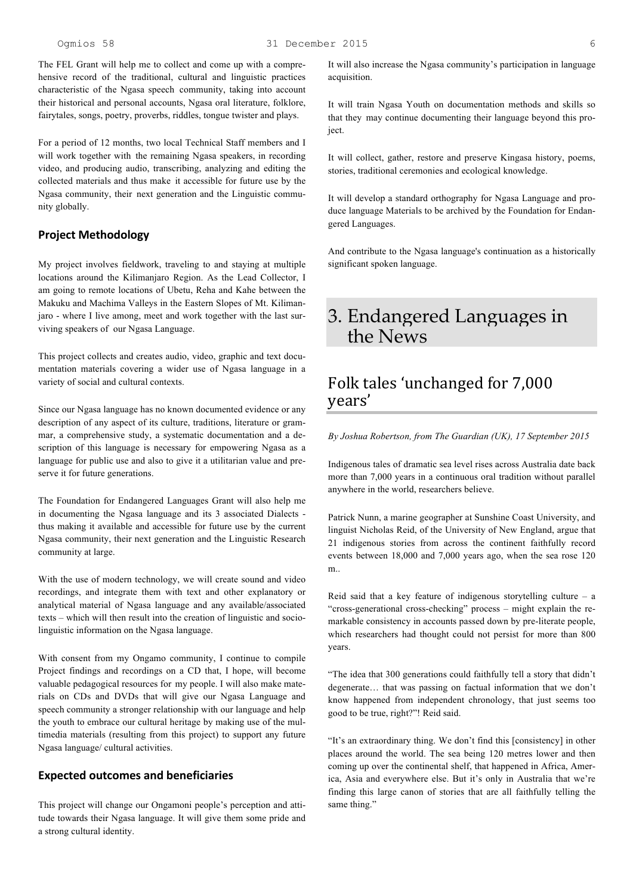The FEL Grant will help me to collect and come up with a comprehensive record of the traditional, cultural and linguistic practices characteristic of the Ngasa speech community, taking into account their historical and personal accounts, Ngasa oral literature, folklore, fairytales, songs, poetry, proverbs, riddles, tongue twister and plays.

For a period of 12 months, two local Technical Staff members and I will work together with the remaining Ngasa speakers, in recording video, and producing audio, transcribing, analyzing and editing the collected materials and thus make it accessible for future use by the Ngasa community, their next generation and the Linguistic community globally.

#### **Project Methodology**

My project involves fieldwork, traveling to and staying at multiple locations around the Kilimanjaro Region. As the Lead Collector, I am going to remote locations of Ubetu, Reha and Kahe between the Makuku and Machima Valleys in the Eastern Slopes of Mt. Kilimanjaro - where I live among, meet and work together with the last surviving speakers of our Ngasa Language.

This project collects and creates audio, video, graphic and text documentation materials covering a wider use of Ngasa language in a variety of social and cultural contexts.

Since our Ngasa language has no known documented evidence or any description of any aspect of its culture, traditions, literature or grammar, a comprehensive study, a systematic documentation and a description of this language is necessary for empowering Ngasa as a language for public use and also to give it a utilitarian value and preserve it for future generations.

The Foundation for Endangered Languages Grant will also help me in documenting the Ngasa language and its 3 associated Dialects thus making it available and accessible for future use by the current Ngasa community, their next generation and the Linguistic Research community at large.

With the use of modern technology, we will create sound and video recordings, and integrate them with text and other explanatory or analytical material of Ngasa language and any available/associated texts – which will then result into the creation of linguistic and sociolinguistic information on the Ngasa language.

With consent from my Ongamo community, I continue to compile Project findings and recordings on a CD that, I hope, will become valuable pedagogical resources for my people. I will also make materials on CDs and DVDs that will give our Ngasa Language and speech community a stronger relationship with our language and help the youth to embrace our cultural heritage by making use of the multimedia materials (resulting from this project) to support any future Ngasa language/ cultural activities.

#### **Expected+outcomes+and+beneficiaries**

This project will change our Ongamoni people's perception and attitude towards their Ngasa language. It will give them some pride and a strong cultural identity.

It will also increase the Ngasa community's participation in language acquisition.

It will train Ngasa Youth on documentation methods and skills so that they may continue documenting their language beyond this project.

It will collect, gather, restore and preserve Kingasa history, poems, stories, traditional ceremonies and ecological knowledge.

It will develop a standard orthography for Ngasa Language and produce language Materials to be archived by the Foundation for Endangered Languages.

And contribute to the Ngasa language's continuation as a historically significant spoken language.

# 3. Endangered Languages in the News

## Folk tales 'unchanged for 7,000 years'

*By Joshua Robertson, from The Guardian (UK), 17 September 2015*

Indigenous tales of dramatic sea level rises across Australia date back more than 7,000 years in a continuous oral tradition without parallel anywhere in the world, researchers believe.

Patrick Nunn, a marine geographer at Sunshine Coast University, and linguist Nicholas Reid, of the University of New England, argue that 21 indigenous stories from across the continent faithfully record events between 18,000 and 7,000 years ago, when the sea rose 120 m.

Reid said that a key feature of indigenous storytelling culture  $-$  a "cross-generational cross-checking" process – might explain the remarkable consistency in accounts passed down by pre-literate people, which researchers had thought could not persist for more than 800 years.

"The idea that 300 generations could faithfully tell a story that didn't degenerate… that was passing on factual information that we don't know happened from independent chronology, that just seems too good to be true, right?"! Reid said.

"It's an extraordinary thing. We don't find this [consistency] in other places around the world. The sea being 120 metres lower and then coming up over the continental shelf, that happened in Africa, America, Asia and everywhere else. But it's only in Australia that we're finding this large canon of stories that are all faithfully telling the same thing."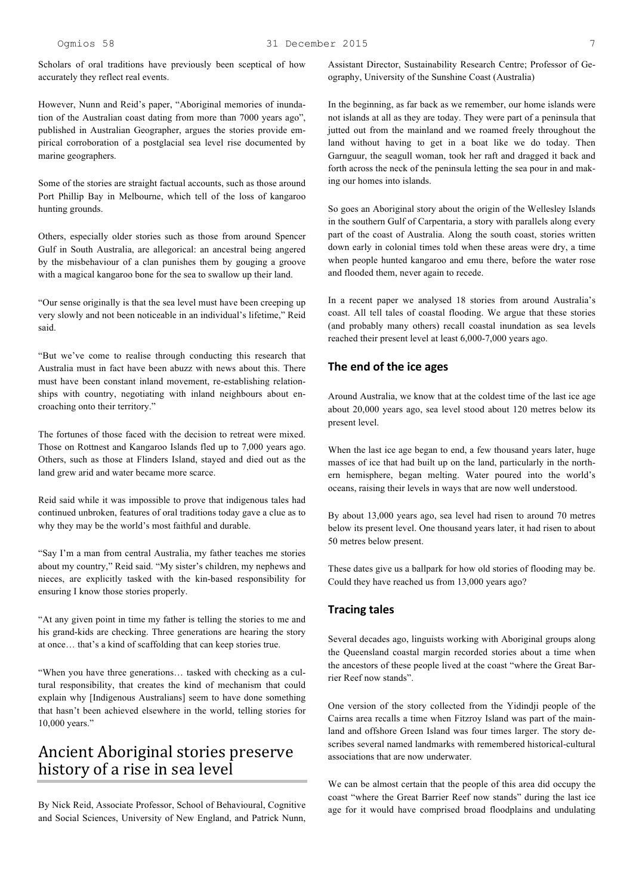Scholars of oral traditions have previously been sceptical of how accurately they reflect real events.

However, Nunn and Reid's paper, "Aboriginal memories of inundation of the Australian coast dating from more than 7000 years ago", published in Australian Geographer, argues the stories provide empirical corroboration of a postglacial sea level rise documented by marine geographers.

Some of the stories are straight factual accounts, such as those around Port Phillip Bay in Melbourne, which tell of the loss of kangaroo hunting grounds.

Others, especially older stories such as those from around Spencer Gulf in South Australia, are allegorical: an ancestral being angered by the misbehaviour of a clan punishes them by gouging a groove with a magical kangaroo bone for the sea to swallow up their land.

"Our sense originally is that the sea level must have been creeping up very slowly and not been noticeable in an individual's lifetime," Reid said.

"But we've come to realise through conducting this research that Australia must in fact have been abuzz with news about this. There must have been constant inland movement, re-establishing relationships with country, negotiating with inland neighbours about encroaching onto their territory."

The fortunes of those faced with the decision to retreat were mixed. Those on Rottnest and Kangaroo Islands fled up to 7,000 years ago. Others, such as those at Flinders Island, stayed and died out as the land grew arid and water became more scarce.

Reid said while it was impossible to prove that indigenous tales had continued unbroken, features of oral traditions today gave a clue as to why they may be the world's most faithful and durable.

"Say I'm a man from central Australia, my father teaches me stories about my country," Reid said. "My sister's children, my nephews and nieces, are explicitly tasked with the kin-based responsibility for ensuring I know those stories properly.

"At any given point in time my father is telling the stories to me and his grand-kids are checking. Three generations are hearing the story at once… that's a kind of scaffolding that can keep stories true.

"When you have three generations… tasked with checking as a cultural responsibility, that creates the kind of mechanism that could explain why [Indigenous Australians] seem to have done something that hasn't been achieved elsewhere in the world, telling stories for 10,000 years."

### Ancient Aboriginal stories preserve history of a rise in sea level

By Nick Reid, Associate Professor, School of Behavioural, Cognitive and Social Sciences, University of New England, and Patrick Nunn, Assistant Director, Sustainability Research Centre; Professor of Geography, University of the Sunshine Coast (Australia)

In the beginning, as far back as we remember, our home islands were not islands at all as they are today. They were part of a peninsula that jutted out from the mainland and we roamed freely throughout the land without having to get in a boat like we do today. Then Garnguur, the seagull woman, took her raft and dragged it back and forth across the neck of the peninsula letting the sea pour in and making our homes into islands.

So goes an Aboriginal story about the origin of the Wellesley Islands in the southern Gulf of Carpentaria, a story with parallels along every part of the coast of Australia. Along the south coast, stories written down early in colonial times told when these areas were dry, a time when people hunted kangaroo and emu there, before the water rose and flooded them, never again to recede.

In a recent paper we analysed 18 stories from around Australia's coast. All tell tales of coastal flooding. We argue that these stories (and probably many others) recall coastal inundation as sea levels reached their present level at least 6,000-7,000 years ago.

#### The end of the ice ages

Around Australia, we know that at the coldest time of the last ice age about 20,000 years ago, sea level stood about 120 metres below its present level.

When the last ice age began to end, a few thousand years later, huge masses of ice that had built up on the land, particularly in the northern hemisphere, began melting. Water poured into the world's oceans, raising their levels in ways that are now well understood.

By about 13,000 years ago, sea level had risen to around 70 metres below its present level. One thousand years later, it had risen to about 50 metres below present.

These dates give us a ballpark for how old stories of flooding may be. Could they have reached us from 13,000 years ago?

#### **Tracing tales**

Several decades ago, linguists working with Aboriginal groups along the Queensland coastal margin recorded stories about a time when the ancestors of these people lived at the coast "where the Great Barrier Reef now stands".

One version of the story collected from the Yidindji people of the Cairns area recalls a time when Fitzroy Island was part of the mainland and offshore Green Island was four times larger. The story describes several named landmarks with remembered historical-cultural associations that are now underwater.

We can be almost certain that the people of this area did occupy the coast "where the Great Barrier Reef now stands" during the last ice age for it would have comprised broad floodplains and undulating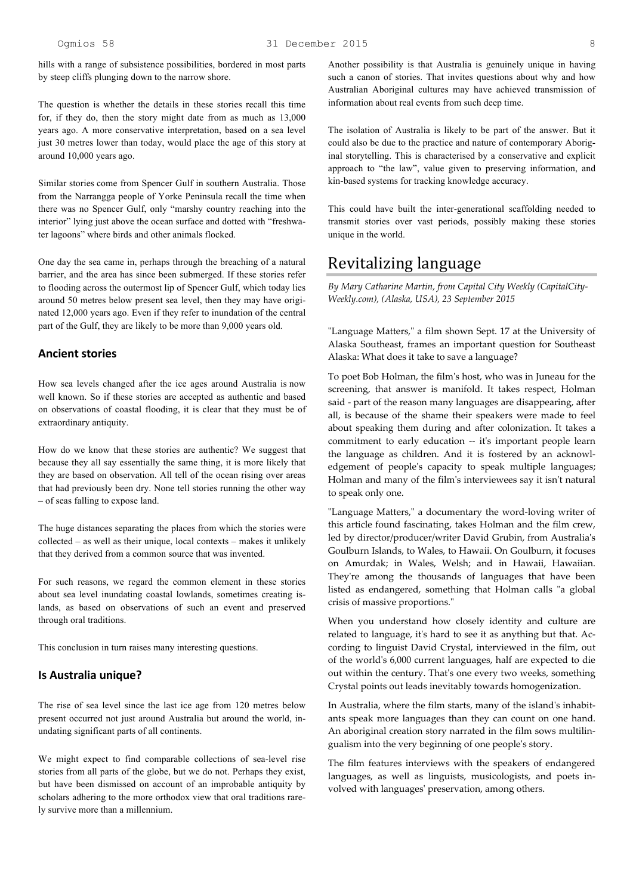hills with a range of subsistence possibilities, bordered in most parts by steep cliffs plunging down to the narrow shore.

The question is whether the details in these stories recall this time for, if they do, then the story might date from as much as 13,000 years ago. A more conservative interpretation, based on a sea level just 30 metres lower than today, would place the age of this story at around 10,000 years ago.

Similar stories come from Spencer Gulf in southern Australia. Those from the Narrangga people of Yorke Peninsula recall the time when there was no Spencer Gulf, only "marshy country reaching into the interior" lying just above the ocean surface and dotted with "freshwater lagoons" where birds and other animals flocked.

One day the sea came in, perhaps through the breaching of a natural barrier, and the area has since been submerged. If these stories refer to flooding across the outermost lip of Spencer Gulf, which today lies around 50 metres below present sea level, then they may have originated 12,000 years ago. Even if they refer to inundation of the central part of the Gulf, they are likely to be more than 9,000 years old.

#### **Ancient stories**

How sea levels changed after the ice ages around Australia is now well known. So if these stories are accepted as authentic and based on observations of coastal flooding, it is clear that they must be of extraordinary antiquity.

How do we know that these stories are authentic? We suggest that because they all say essentially the same thing, it is more likely that they are based on observation. All tell of the ocean rising over areas that had previously been dry. None tell stories running the other way – of seas falling to expose land.

The huge distances separating the places from which the stories were collected – as well as their unique, local contexts – makes it unlikely that they derived from a common source that was invented.

For such reasons, we regard the common element in these stories about sea level inundating coastal lowlands, sometimes creating islands, as based on observations of such an event and preserved through oral traditions.

This conclusion in turn raises many interesting questions.

#### **Is Australia unique?**

The rise of sea level since the last ice age from 120 metres below present occurred not just around Australia but around the world, inundating significant parts of all continents.

We might expect to find comparable collections of sea-level rise stories from all parts of the globe, but we do not. Perhaps they exist, but have been dismissed on account of an improbable antiquity by scholars adhering to the more orthodox view that oral traditions rarely survive more than a millennium.

Another possibility is that Australia is genuinely unique in having such a canon of stories. That invites questions about why and how Australian Aboriginal cultures may have achieved transmission of information about real events from such deep time.

The isolation of Australia is likely to be part of the answer. But it could also be due to the practice and nature of contemporary Aboriginal storytelling. This is characterised by a conservative and explicit approach to "the law", value given to preserving information, and kin-based systems for tracking knowledge accuracy.

This could have built the inter-generational scaffolding needed to transmit stories over vast periods, possibly making these stories unique in the world.

### Revitalizing language

By Mary Catharine Martin, from Capital City Weekly (CapitalCity-*Weekly.com),\*(Alaska,\*USA),\*23\*September\*2015*

"Language Matters," a film shown Sept. 17 at the University of Alaska Southeast, frames an important question for Southeast Alaska: What does it take to save a language?

To poet Bob Holman, the film's host, who was in Juneau for the screening, that answer is manifold. It takes respect, Holman said - part of the reason many languages are disappearing, after all, is because of the shame their speakers were made to feel about speaking them during and after colonization. It takes a commitment to early education -- it's important people learn the language as children. And it is fostered by an acknowledgement of people's capacity to speak multiple languages; Holman and many of the film's interviewees say it isn't natural to speak only one.

"Language Matters," a documentary the word-loving writer of this article found fascinating, takes Holman and the film crew, led by director/producer/writer David Grubin, from Australia's Goulburn Islands, to Wales, to Hawaii. On Goulburn, it focuses on Amurdak; in Wales, Welsh; and in Hawaii, Hawaiian. They're among the thousands of languages that have been listed as endangered, something that Holman calls "a global crisis of massive proportions."

When you understand how closely identity and culture are related to language, it's hard to see it as anything but that. According to linguist David Crystal, interviewed in the film, out of the world's 6,000 current languages, half are expected to die out within the century. That's one every two weeks, something Crystal points out leads inevitably towards homogenization.

In Australia, where the film starts, many of the island's inhabitants speak more languages than they can count on one hand. An aboriginal creation story narrated in the film sows multilingualism into the very beginning of one people's story.

The film features interviews with the speakers of endangered languages, as well as linguists, musicologists, and poets involved with languages' preservation, among others.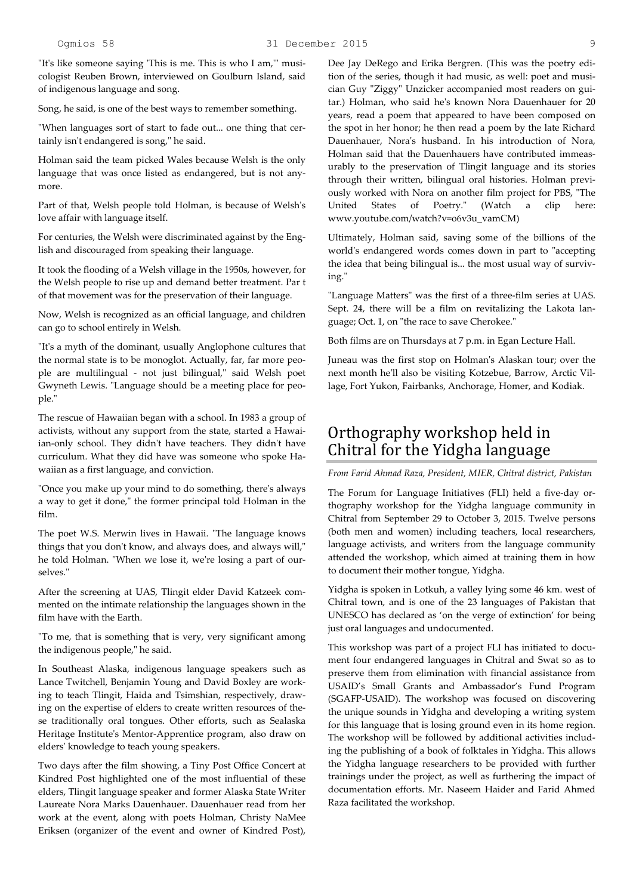"It's like someone saying 'This is me. This is who I am," musicologist Reuben Brown, interviewed on Goulburn Island, said of indigenous language and song.

Song, he said, is one of the best ways to remember something.

"When languages sort of start to fade out... one thing that certainly isn't endangered is song," he said.

Holman said the team picked Wales because Welsh is the only language that was once listed as endangered, but is not any $more$ 

Part of that, Welsh people told Holman, is because of Welsh's love affair with language itself.

For centuries, the Welsh were discriminated against by the English and discouraged from speaking their language.

It took the flooding of a Welsh village in the 1950s, however, for the Welsh people to rise up and demand better treatment. Par t of that movement was for the preservation of their language.

Now, Welsh is recognized as an official language, and children can go to school entirely in Welsh.

"It's a myth of the dominant, usually Anglophone cultures that the normal state is to be monoglot. Actually, far, far more people are multilingual - not just bilingual," said Welsh poet Gwyneth Lewis. "Language should be a meeting place for people."

The rescue of Hawaiian began with a school. In 1983 a group of activists, without any support from the state, started a Hawaiian-only school. They didn't have teachers. They didn't have curriculum. What they did have was someone who spoke Hawaiian as a first language, and conviction.

"Once you make up your mind to do something, there's always a way to get it done," the former principal told Holman in the film.

The poet W.S. Merwin lives in Hawaii. "The language knows things that you don't know, and always does, and always will," he told Holman. "When we lose it, we're losing a part of ourselves."

After the screening at UAS, Tlingit elder David Katzeek commented on the intimate relationship the languages shown in the film have with the Earth.

"To me, that is something that is very, very significant among the indigenous people," he said.

In Southeast Alaska, indigenous language speakers such as Lance Twitchell, Benjamin Young and David Boxley are working to teach Tlingit, Haida and Tsimshian, respectively, drawing on the expertise of elders to create written resources of these traditionally oral tongues. Other efforts, such as Sealaska Heritage Institute's Mentor-Apprentice program, also draw on elders' knowledge to teach young speakers.

Two days after the film showing, a Tiny Post Office Concert at Kindred Post highlighted one of the most influential of these elders, Tlingit language speaker and former Alaska State Writer Laureate Nora Marks Dauenhauer. Dauenhauer read from her work at the event, along with poets Holman, Christy NaMee Eriksen (organizer of the event and owner of Kindred Post),

Dee Jay DeRego and Erika Bergren. (This was the poetry edition of the series, though it had music, as well: poet and musician Guy "Ziggy" Unzicker accompanied most readers on guitar.) Holman, who said he's known Nora Dauenhauer for 20 years, read a poem that appeared to have been composed on the spot in her honor; he then read a poem by the late Richard Dauenhauer, Nora's husband. In his introduction of Nora, Holman said that the Dauenhauers have contributed immeasurably to the preservation of Tlingit language and its stories through their written, bilingual oral histories. Holman previously worked with Nora on another film project for PBS, "The United States of Poetry." (Watch a clip here: www.youtube.com/watch?v=o6v3u\_vamCM)

Ultimately, Holman said, saving some of the billions of the world's endangered words comes down in part to "accepting the idea that being bilingual is... the most usual way of surviving."

"Language Matters" was the first of a three-film series at UAS. Sept. 24, there will be a film on revitalizing the Lakota language; Oct. 1, on "the race to save Cherokee."

Both films are on Thursdays at 7 p.m. in Egan Lecture Hall.

Juneau was the first stop on Holman's Alaskan tour; over the next month he'll also be visiting Kotzebue, Barrow, Arctic Village, Fort Yukon, Fairbanks, Anchorage, Homer, and Kodiak.

## Orthography workshop held in Chitral for the Yidgha language

From Farid Ahmad Raza, President, MIER, Chitral district, Pakistan

The Forum for Language Initiatives (FLI) held a five-day orthography workshop for the Yidgha language community in Chitral from September 29 to October 3, 2015. Twelve persons (both men and women) including teachers, local researchers, language activists, and writers from the language community attended the workshop, which aimed at training them in how to document their mother tongue, Yidgha.

Yidgha is spoken in Lotkuh, a valley lying some 46 km. west of Chitral town, and is one of the 23 languages of Pakistan that UNESCO has declared as 'on the verge of extinction' for being just oral languages and undocumented.

This workshop was part of a project FLI has initiated to document four endangered languages in Chitral and Swat so as to preserve them from elimination with financial assistance from USAID's Small Grants and Ambassador's Fund Program (SGAFP-USAID). The workshop was focused on discovering the unique sounds in Yidgha and developing a writing system for this language that is losing ground even in its home region. The workshop will be followed by additional activities including the publishing of a book of folktales in Yidgha. This allows the Yidgha language researchers to be provided with further trainings under the project, as well as furthering the impact of documentation efforts. Mr. Naseem Haider and Farid Ahmed Raza facilitated the workshop.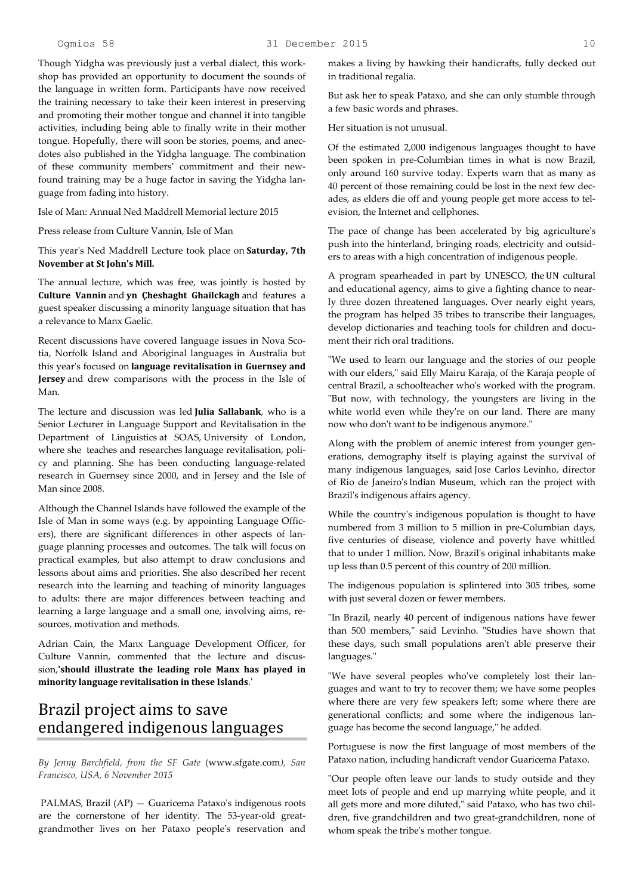Though Yidgha was previously just a verbal dialect, this workshop has provided an opportunity to document the sounds of the language in written form. Participants have now received the training necessary to take their keen interest in preserving and promoting their mother tongue and channel it into tangible activities, including being able to finally write in their mother tongue. Hopefully, there will soon be stories, poems, and anecdotes also published in the Yidgha language. The combination of these community members' commitment and their newfound training may be a huge factor in saving the Yidgha language from fading into history.

Isle of Man: Annual Ned Maddrell Memorial lecture 2015

Press release from Culture Vannin, Isle of Man

This year's Ned Maddrell Lecture took place on Saturday, 7th November at St John's Mill.

The annual lecture, which was free, was jointly is hosted by Culture Vannin and yn Cheshaght Ghailckagh and features a guest speaker discussing a minority language situation that has a relevance to Manx Gaelic.

Recent discussions have covered language issues in Nova Scotia, Norfolk Island and Aboriginal languages in Australia but this year's focused on language revitalisation in Guernsey and Jersey and drew comparisons with the process in the Isle of Man.

The lecture and discussion was led Julia Sallabank, who is a Senior Lecturer in Language Support and Revitalisation in the Department of Linguistics at SOAS, University of London, where she teaches and researches language revitalisation, policy and planning. She has been conducting language-related research in Guernsey since 2000, and in Jersey and the Isle of Man since 2008.

Although the Channel Islands have followed the example of the Isle of Man in some ways (e.g. by appointing Language Officers), there are significant differences in other aspects of language planning processes and outcomes. The talk will focus on practical examples, but also attempt to draw conclusions and lessons about aims and priorities. She also described her recent research into the learning and teaching of minority languages to adults: there are major differences between teaching and learning a large language and a small one, involving aims, resources, motivation and methods.

Adrian Cain, the Manx Language Development Officer, for Culture Vannin, commented that the lecture and discussion,'should illustrate the leading role Manx has played in minority language revitalisation in these Islands.

### Brazil project aims to save endangered indigenous languages

By Jenny Barchfield, from the SF Gate (www.sfgate.com), San Francisco, USA, 6 November 2015

PALMAS, Brazil (AP) - Guaricema Pataxo's indigenous roots are the cornerstone of her identity. The 53-year-old greatgrandmother lives on her Pataxo people's reservation and makes a living by hawking their handicrafts, fully decked out in traditional regalia.

But ask her to speak Pataxo, and she can only stumble through a few basic words and phrases.

Her situation is not unusual.

Of the estimated 2,000 indigenous languages thought to have been spoken in pre-Columbian times in what is now Brazil, only around 160 survive today. Experts warn that as many as 40 percent of those remaining could be lost in the next few decades, as elders die off and young people get more access to television, the Internet and cellphones.

The pace of change has been accelerated by big agriculture's push into the hinterland, bringing roads, electricity and outsiders to areas with a high concentration of indigenous people.

A program spearheaded in part by UNESCO, the UN cultural and educational agency, aims to give a fighting chance to nearly three dozen threatened languages. Over nearly eight years, the program has helped 35 tribes to transcribe their languages, develop dictionaries and teaching tools for children and document their rich oral traditions.

"We used to learn our language and the stories of our people with our elders," said Elly Mairu Karaja, of the Karaja people of central Brazil, a schoolteacher who's worked with the program. "But now, with technology, the youngsters are living in the white world even while they're on our land. There are many now who don't want to be indigenous anymore."

Along with the problem of anemic interest from younger generations, demography itself is playing against the survival of many indigenous languages, said Jose Carlos Levinho, director of Rio de Janeiro's Indian Museum, which ran the project with Brazil's indigenous affairs agency.

While the country's indigenous population is thought to have numbered from 3 million to 5 million in pre-Columbian days, five centuries of disease, violence and poverty have whittled that to under 1 million. Now, Brazil's original inhabitants make up less than 0.5 percent of this country of 200 million.

The indigenous population is splintered into 305 tribes, some with just several dozen or fewer members.

"In Brazil, nearly 40 percent of indigenous nations have fewer than 500 members," said Levinho. "Studies have shown that these days, such small populations aren't able preserve their languages."

"We have several peoples who've completely lost their languages and want to try to recover them; we have some peoples where there are very few speakers left; some where there are generational conflicts; and some where the indigenous language has become the second language," he added.

Portuguese is now the first language of most members of the Pataxo nation, including handicraft vendor Guaricema Pataxo.

"Our people often leave our lands to study outside and they meet lots of people and end up marrying white people, and it all gets more and more diluted," said Pataxo, who has two children, five grandchildren and two great-grandchildren, none of whom speak the tribe's mother tongue.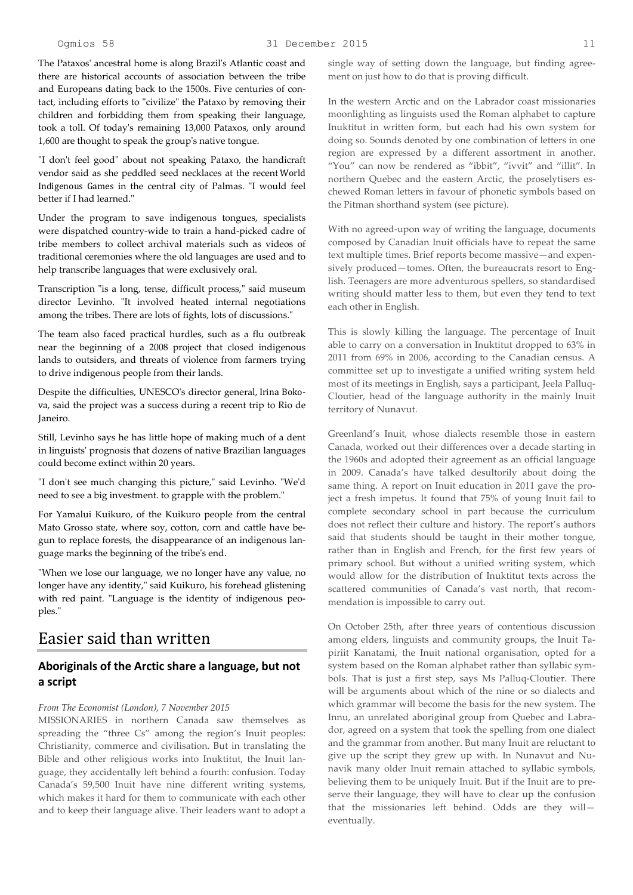The Pataxos' ancestral home is along Brazil's Atlantic coast and there are historical accounts of association between the tribe and Europeans dating back to the 1500s. Five centuries of contact, including efforts to "civilize" the Pataxo by removing their children and forbidding them from speaking their language, took a toll. Of today's remaining 13,000 Pataxos, only around 1,600 are thought to speak the group's native tongue.

"I don't feel good" about not speaking Pataxo, the handicraft vendor said as she peddled seed necklaces at the recent World Indigenous Games in the central city of Palmas. "I would feel better if I had learned."

Under the program to save indigenous tongues, specialists were dispatched country-wide to train a hand-picked cadre of tribe members to collect archival materials such as videos of traditional ceremonies where the old languages are used and to help transcribe languages that were exclusively oral.

Transcription "is a long, tense, difficult process," said museum director Levinho. "It involved heated internal negotiations among the tribes. There are lots of fights, lots of discussions."

The team also faced practical hurdles, such as a flu outbreak near the beginning of a 2008 project that closed indigenous lands to outsiders, and threats of violence from farmers trying to drive indigenous people from their lands.

Despite the difficulties, UNESCO's director general, Irina Bokova, said the project was a success during a recent trip to Rio de Janeiro.

Still, Levinho says he has little hope of making much of a dent in linguists' prognosis that dozens of native Brazilian languages could become extinct within 20 years.

"I don't see much changing this picture," said Levinho. "We'd need to see a big investment. to grapple with the problem."

For Yamalui Kuikuro, of the Kuikuro people from the central Mato Grosso state, where soy, cotton, corn and cattle have begun to replace forests, the disappearance of an indigenous language marks the beginning of the tribe's end.

"When we lose our language, we no longer have any value, no longer have any identity," said Kuikuro, his forehead glistening with red paint. "Language is the identity of indigenous peoples."

#### Easier said than written

#### Aboriginals of the Arctic share a language, but not a script

#### From The Economist (London). 7 November 2015

MISSIONARIES in northern Canada saw themselves as spreading the "three Cs" among the region's Inuit peoples: Christianity, commerce and civilisation. But in translating the Bible and other religious works into Inuktitut, the Inuit language, they accidentally left behind a fourth: confusion. Today Canada's 59,500 Inuit have nine different writing systems, which makes it hard for them to communicate with each other and to keep their language alive. Their leaders want to adopt a single way of setting down the language, but finding agreement on just how to do that is proving difficult.

In the western Arctic and on the Labrador coast missionaries moonlighting as linguists used the Roman alphabet to capture Inuktitut in written form, but each had his own system for doing so. Sounds denoted by one combination of letters in one region are expressed by a different assortment in another. "You" can now be rendered as "ibbit", "ivvit" and "illit". In northern Quebec and the eastern Arctic, the proselytisers eschewed Roman letters in favour of phonetic symbols based on the Pitman shorthand system (see picture).

With no agreed-upon way of writing the language, documents composed by Canadian Inuit officials have to repeat the same text multiple times. Brief reports become massive—and expensively produced-tomes. Often, the bureaucrats resort to English. Teenagers are more adventurous spellers, so standardised writing should matter less to them, but even they tend to text each other in English.

This is slowly killing the language. The percentage of Inuit able to carry on a conversation in Inuktitut dropped to 63% in 2011 from 69% in 2006, according to the Canadian census. A committee set up to investigate a unified writing system held most of its meetings in English, says a participant, Jeela Palluq-Cloutier, head of the language authority in the mainly Inuit territory of Nunavut.

Greenland's Inuit, whose dialects resemble those in eastern Canada, worked out their differences over a decade starting in the 1960s and adopted their agreement as an official language in 2009. Canada's have talked desultorily about doing the same thing. A report on Inuit education in 2011 gave the project a fresh impetus. It found that 75% of young Inuit fail to complete secondary school in part because the curriculum does not reflect their culture and history. The report's authors said that students should be taught in their mother tongue, rather than in English and French, for the first few years of primary school. But without a unified writing system, which would allow for the distribution of Inuktitut texts across the scattered communities of Canada's vast north, that recommendation is impossible to carry out.

On October 25th, after three years of contentious discussion among elders, linguists and community groups, the Inuit Tapiriit Kanatami, the Inuit national organisation, opted for a system based on the Roman alphabet rather than syllabic symbols. That is just a first step, says Ms Palluq-Cloutier. There will be arguments about which of the nine or so dialects and which grammar will become the basis for the new system. The Innu, an unrelated aboriginal group from Quebec and Labrador, agreed on a system that took the spelling from one dialect and the grammar from another. But many Inuit are reluctant to give up the script they grew up with. In Nunavut and Nunavik many older Inuit remain attached to syllabic symbols, believing them to be uniquely Inuit. But if the Inuit are to preserve their language, they will have to clear up the confusion that the missionaries left behind. Odds are they willeventually.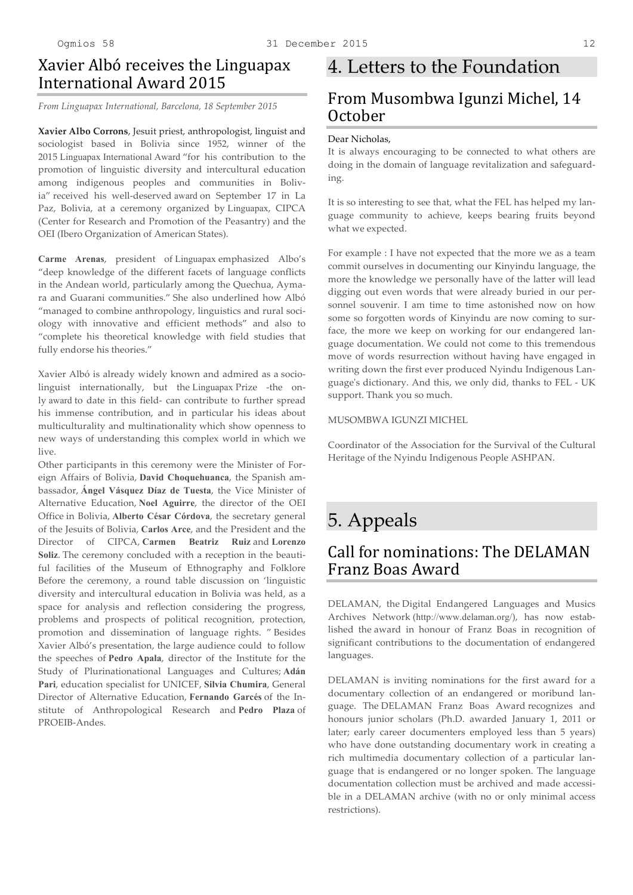### Xavier Albó receives the Linguapax **International Award 2015**

From Linguapax International, Barcelona, 18 September 2015

Xavier Albo Corrons, Jesuit priest, anthropologist, linguist and sociologist based in Bolivia since 1952, winner of the 2015 Linguapax International Award "for his contribution to the promotion of linguistic diversity and intercultural education among indigenous peoples and communities in Bolivia" received his well-deserved award on September 17 in La Paz, Bolivia, at a ceremony organized by Linguapax, CIPCA (Center for Research and Promotion of the Peasantry) and the OEI (Ibero Organization of American States).

Carme Arenas, president of Linguapax emphasized Albo's "deep knowledge of the different facets of language conflicts in the Andean world, particularly among the Quechua, Aymara and Guarani communities." She also underlined how Albó "managed to combine anthropology, linguistics and rural sociology with innovative and efficient methods" and also to "complete his theoretical knowledge with field studies that fully endorse his theories."

Xavier Albó is already widely known and admired as a sociolinguist internationally, but the Linguapax Prize -the only award to date in this field- can contribute to further spread his immense contribution, and in particular his ideas about multiculturality and multinationality which show openness to new ways of understanding this complex world in which we live

Other participants in this ceremony were the Minister of Foreign Affairs of Bolivia, David Choquehuanca, the Spanish ambassador, Ángel Vásquez Díaz de Tuesta, the Vice Minister of Alternative Education, Noel Aguirre, the director of the OEI Office in Bolivia, Alberto César Córdova, the secretary general of the Jesuits of Bolivia, Carlos Arce, and the President and the Director of CIPCA, Carmen Beatriz Ruiz and Lorenzo Soliz. The ceremony concluded with a reception in the beautiful facilities of the Museum of Ethnography and Folklore Before the ceremony, a round table discussion on 'linguistic diversity and intercultural education in Bolivia was held, as a space for analysis and reflection considering the progress, problems and prospects of political recognition, protection, promotion and dissemination of language rights. "Besides Xavier Albó's presentation, the large audience could to follow the speeches of Pedro Apala, director of the Institute for the Study of Plurinationational Languages and Cultures; Adán Pari, education specialist for UNICEF, Silvia Chumira, General Director of Alternative Education, Fernando Garcés of the Institute of Anthropological Research and Pedro Plaza of PROEIB-Andes.

## 4. Letters to the Foundation

### From Musombwa Igunzi Michel, 14 October

#### Dear Nicholas.

It is always encouraging to be connected to what others are doing in the domain of language revitalization and safeguard-

It is so interesting to see that, what the FEL has helped my language community to achieve, keeps bearing fruits beyond what we expected.

For example : I have not expected that the more we as a team commit ourselves in documenting our Kinyindu language, the more the knowledge we personally have of the latter will lead digging out even words that were already buried in our personnel souvenir. I am time to time astonished now on how some so forgotten words of Kinyindu are now coming to surface, the more we keep on working for our endangered language documentation. We could not come to this tremendous move of words resurrection without having have engaged in writing down the first ever produced Nyindu Indigenous Language's dictionary. And this, we only did, thanks to FEL - UK support. Thank you so much.

#### MUSOMBWA IGUNZI MICHEL

Coordinator of the Association for the Survival of the Cultural Heritage of the Nyindu Indigenous People ASHPAN.

# 5. Appeals

## Call for nominations: The DELAMAN Franz Boas Award

DELAMAN, the Digital Endangered Languages and Musics Archives Network (http://www.delaman.org/), has now established the award in honour of Franz Boas in recognition of significant contributions to the documentation of endangered languages.

DELAMAN is inviting nominations for the first award for a documentary collection of an endangered or moribund language. The DELAMAN Franz Boas Award recognizes and honours junior scholars (Ph.D. awarded January 1, 2011 or later; early career documenters employed less than 5 years) who have done outstanding documentary work in creating a rich multimedia documentary collection of a particular language that is endangered or no longer spoken. The language documentation collection must be archived and made accessible in a DELAMAN archive (with no or only minimal access restrictions).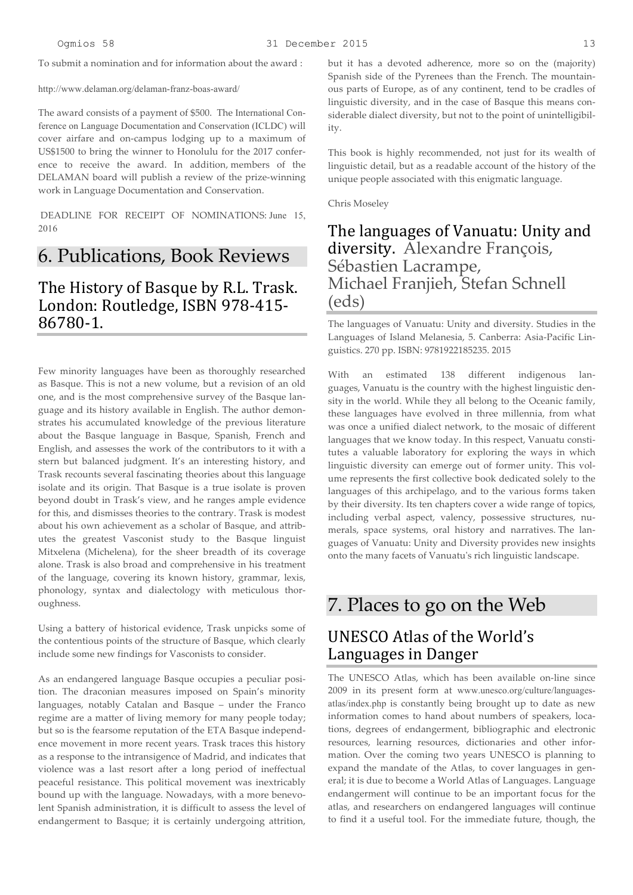To submit a nomination and for information about the award :

http://www.delaman.org/delaman-franz-boas-award/

The award consists of a payment of \$500. The International Conference on Language Documentation and Conservation (ICLDC) will! cover airfare and on-campus lodging up to a maximum of US\$1500 to bring the winner to Honolulu for the 2017 conference to receive the award. In addition, members of the DELAMAN board will publish a review of the prize-winning work in Language Documentation and Conservation.

DEADLINE FOR RECEIPT OF NOMINATIONS: June 15, 2016

## 6. Publications, Book Reviews

## The History of Basque by R.L. Trask. London: Routledge, ISBN 978-415-86780-1.

Few minority languages have been as thoroughly researched as Basque. This is not a new volume, but a revision of an old one, and is the most comprehensive survey of the Basque language and its history available in English. The author demonstrates his accumulated knowledge of the previous literature about the Basque language in Basque, Spanish, French and English, and assesses the work of the contributors to it with a stern but balanced judgment. It's an interesting history, and Trask recounts several fascinating theories about this language isolate and its origin. That Basque is a true isolate is proven beyond doubt in Trask's view, and he ranges ample evidence for this, and dismisses theories to the contrary. Trask is modest about his own achievement as a scholar of Basque, and attributes the greatest Vasconist study to the Basque linguist Mitxelena (Michelena), for the sheer breadth of its coverage alone. Trask is also broad and comprehensive in his treatment of the language, covering its known history, grammar, lexis, phonology, syntax and dialectology with meticulous thoroughness.

Using a battery of historical evidence, Trask unpicks some of the contentious points of the structure of Basque, which clearly include some new findings for Vasconists to consider.

As an endangered language Basque occupies a peculiar position. The draconian measures imposed on Spain's minority languages, notably Catalan and Basque – under the Franco regime are a matter of living memory for many people today; but so is the fearsome reputation of the ETA Basque independence movement in more recent years. Trask traces this history as a response to the intransigence of Madrid, and indicates that violence was a last resort after a long period of ineffectual peaceful resistance. This political movement was inextricably bound up with the language. Nowadays, with a more benevolent Spanish administration, it is difficult to assess the level of endangerment to Basque; it is certainly undergoing attrition, but it has a devoted adherence, more so on the (majority) Spanish side of the Pyrenees than the French. The mountainous parts of Europe, as of any continent, tend to be cradles of linguistic diversity, and in the case of Basque this means considerable dialect diversity, but not to the point of unintelligibility.

This book is highly recommended, not just for its wealth of linguistic detail, but as a readable account of the history of the unique people associated with this enigmatic language.

Chris Moseley

## The languages of Vanuatu: Unity and diversity. Alexandre François, Sébastien Lacrampe, Michael Franjieh, Stefan Schnell! (eds)

The languages of Vanuatu: Unity and diversity. Studies in the Languages of Island Melanesia, 5. Canberra: Asia-Pacific Linguistics. 270 pp. ISBN: 9781922185235. 2015

With an estimated 138 different indigenous languages, Vanuatu is the country with the highest linguistic density in the world. While they all belong to the Oceanic family, these languages have evolved in three millennia, from what was once a unified dialect network, to the mosaic of different languages that we know today. In this respect, Vanuatu constitutes a valuable laboratory for exploring the ways in which linguistic diversity can emerge out of former unity. This volume represents the first collective book dedicated solely to the languages of this archipelago, and to the various forms taken by their diversity. Its ten chapters cover a wide range of topics, including verbal aspect, valency, possessive structures, numerals, space systems, oral history and narratives. The languages of Vanuatu: Unity and Diversity provides new insights onto the many facets of Vanuatu's rich linguistic landscape.

# 7. Places to go on the Web

### UNESCO Atlas of the World's Languages in Danger

The UNESCO Atlas, which has been available on-line since 2009 in its present form at www.unesco.org/culture/languagesatlas/index.php is constantly being brought up to date as new information comes to hand about numbers of speakers, locations, degrees of endangerment, bibliographic and electronic resources, learning resources, dictionaries and other information. Over the coming two years UNESCO is planning to expand the mandate of the Atlas, to cover languages in general; it is due to become a World Atlas of Languages. Language endangerment will continue to be an important focus for the atlas, and researchers on endangered languages will continue to find it a useful tool. For the immediate future, though, the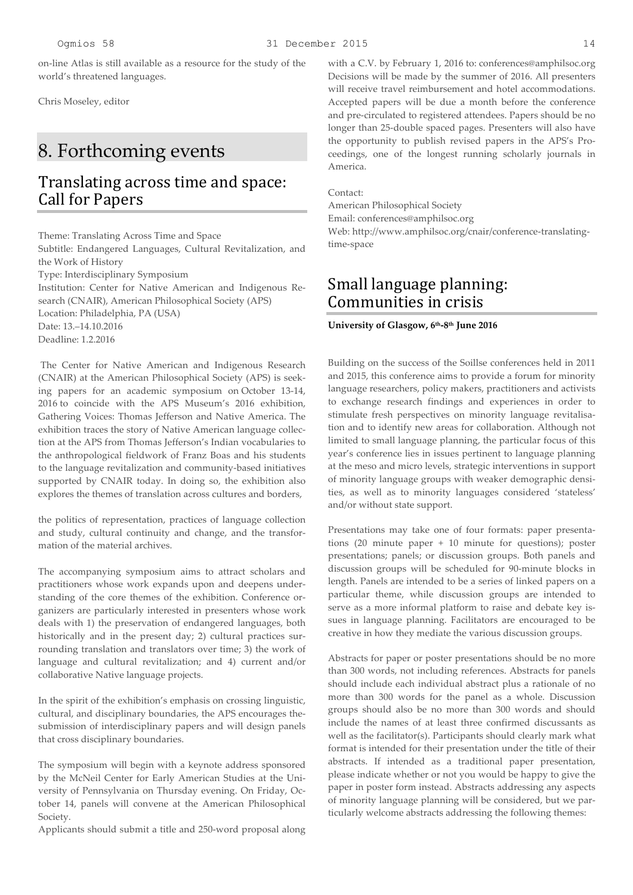on-line Atlas is still available as a resource for the study of the world's threatened languages.

Chris Moseley, editor

# 8. Forthcoming events

### Translating across time and space: Call for Papers

Theme: Translating Across Time and Space Subtitle: Endangered Languages, Cultural Revitalization, and the Work of History Type: Interdisciplinary Symposium Institution: Center for Native American and Indigenous Research (CNAIR), American Philosophical Society (APS) Location: Philadelphia, PA (USA) Date: 13, -14, 10, 2016 Deadline: 1.2.2016

The Center for Native American and Indigenous Research (CNAIR) at the American Philosophical Society (APS) is seeking papers for an academic symposium on October 13-14. 2016 to coincide with the APS Museum's 2016 exhibition, Gathering Voices: Thomas Jefferson and Native America. The exhibition traces the story of Native American language collection at the APS from Thomas Jefferson's Indian vocabularies to the anthropological fieldwork of Franz Boas and his students to the language revitalization and community-based initiatives supported by CNAIR today. In doing so, the exhibition also explores the themes of translation across cultures and borders,

the politics of representation, practices of language collection and study, cultural continuity and change, and the transformation of the material archives.

The accompanying symposium aims to attract scholars and practitioners whose work expands upon and deepens understanding of the core themes of the exhibition. Conference organizers are particularly interested in presenters whose work deals with 1) the preservation of endangered languages, both historically and in the present day; 2) cultural practices surrounding translation and translators over time; 3) the work of language and cultural revitalization; and 4) current and/or collaborative Native language projects.

In the spirit of the exhibition's emphasis on crossing linguistic, cultural, and disciplinary boundaries, the APS encourages thesubmission of interdisciplinary papers and will design panels that cross disciplinary boundaries.

The symposium will begin with a keynote address sponsored by the McNeil Center for Early American Studies at the University of Pennsylvania on Thursday evening. On Friday, October 14, panels will convene at the American Philosophical Society.

Applicants should submit a title and 250-word proposal along

with a C.V. by February 1, 2016 to: conferences@amphilsoc.org Decisions will be made by the summer of 2016. All presenters will receive travel reimbursement and hotel accommodations. Accepted papers will be due a month before the conference and pre-circulated to registered attendees. Papers should be no longer than 25-double spaced pages. Presenters will also have the opportunity to publish revised papers in the APS's Proceedings, one of the longest running scholarly journals in America.

Contact:

American Philosophical Society

Email: conferences@amphilsoc.org

Web: http://www.amphilsoc.org/cnair/conference-translatingtime-space

### Small language planning: Communities in crisis

#### University of Glasgow, 6<sup>th</sup>-8<sup>th</sup> June 2016

Building on the success of the Soillse conferences held in 2011 and 2015, this conference aims to provide a forum for minority language researchers, policy makers, practitioners and activists to exchange research findings and experiences in order to stimulate fresh perspectives on minority language revitalisation and to identify new areas for collaboration. Although not limited to small language planning, the particular focus of this year's conference lies in issues pertinent to language planning at the meso and micro levels, strategic interventions in support of minority language groups with weaker demographic densities, as well as to minority languages considered 'stateless' and/or without state support.

Presentations may take one of four formats: paper presentations (20 minute paper  $+$  10 minute for questions); poster presentations; panels; or discussion groups. Both panels and discussion groups will be scheduled for 90-minute blocks in length. Panels are intended to be a series of linked papers on a particular theme, while discussion groups are intended to serve as a more informal platform to raise and debate key issues in language planning. Facilitators are encouraged to be creative in how they mediate the various discussion groups.

Abstracts for paper or poster presentations should be no more than 300 words, not including references. Abstracts for panels should include each individual abstract plus a rationale of no more than 300 words for the panel as a whole. Discussion groups should also be no more than 300 words and should include the names of at least three confirmed discussants as well as the facilitator(s). Participants should clearly mark what format is intended for their presentation under the title of their abstracts. If intended as a traditional paper presentation, please indicate whether or not you would be happy to give the paper in poster form instead. Abstracts addressing any aspects of minority language planning will be considered, but we particularly welcome abstracts addressing the following themes: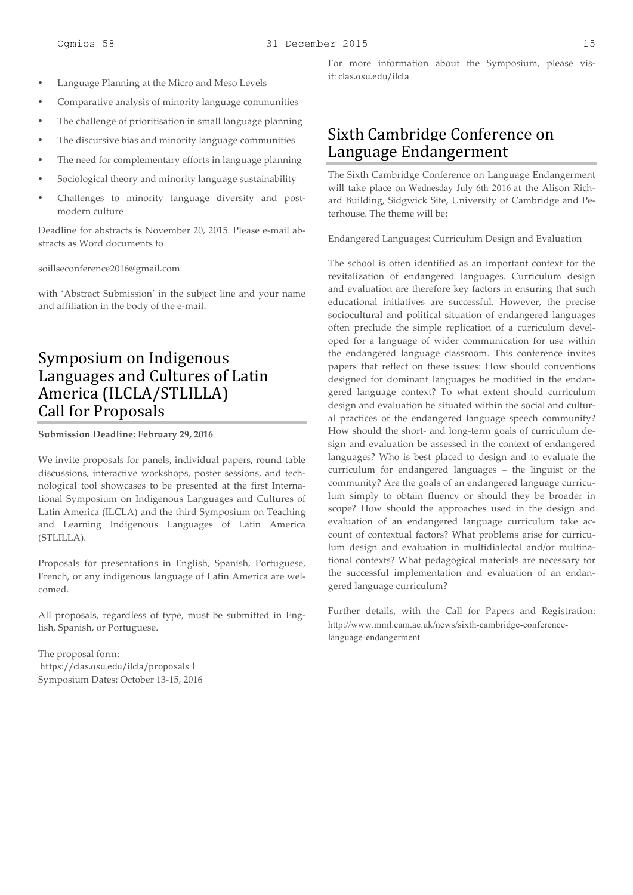- Language Planning at the Micro and Meso Levels
- Comparative analysis of minority language communities
- The challenge of prioritisation in small language planning
- The discursive bias and minority language communities
- The need for complementary efforts in language planning
- Sociological theory and minority language sustainability
- Challenges to minority language diversity and postmodern culture

Deadline for abstracts is November 20, 2015. Please e-mail abstracts as Word documents to

soillseconference2016@gmail.com!

with 'Abstract Submission' in the subject line and your name and affiliation in the body of the e-mail.

## Symposium on Indigenous Languages and Cultures of Latin America (ILCLA/STLILLA) Call for Proposals

#### **Submission Deadline: February 29, 2016**

We invite proposals for panels, individual papers, round table discussions, interactive workshops, poster sessions, and technological tool showcases to be presented at the first International Symposium on Indigenous Languages and Cultures of Latin America (ILCLA) and the third Symposium on Teaching and Learning Indigenous Languages of Latin America (STLILLA).!

Proposals for presentations in English, Spanish, Portuguese, French, or any indigenous language of Latin America are welcomed.

All proposals, regardless of type, must be submitted in English, Spanish, or Portuguese.

The proposal form: https://clas.osu.edu/ilcla/proposals | Symposium Dates: October 13-15, 2016 For more information about the Symposium, please visit: clas.osu.edu/ilcla

### Sixth Cambridge Conference on Language Endangerment

The Sixth Cambridge Conference on Language Endangerment will take place on Wednesday July 6th 2016 at the Alison Richard Building, Sidgwick Site, University of Cambridge and Peterhouse. The theme will be:

Endangered Languages: Curriculum Design and Evaluation

The school is often identified as an important context for the revitalization of endangered languages. Curriculum design and evaluation are therefore key factors in ensuring that such educational initiatives are successful. However, the precise sociocultural and political situation of endangered languages often preclude the simple replication of a curriculum developed for a language of wider communication for use within the endangered language classroom. This conference invites papers that reflect on these issues: How should conventions designed for dominant languages be modified in the endangered language context? To what extent should curriculum design and evaluation be situated within the social and cultural practices of the endangered language speech community? How should the short- and long-term goals of curriculum design and evaluation be assessed in the context of endangered languages? Who is best placed to design and to evaluate the curriculum for endangered languages – the linguist or the community? Are the goals of an endangered language curriculum simply to obtain fluency or should they be broader in scope? How should the approaches used in the design and evaluation of an endangered language curriculum take account of contextual factors? What problems arise for curriculum design and evaluation in multidialectal and/or multinational contexts? What pedagogical materials are necessary for the successful implementation and evaluation of an endangered language curriculum?

Further details, with the Call for Papers and Registration: http://www.mml.cam.ac.uk/news/sixth-cambridge-conferencelanguage-endangerment